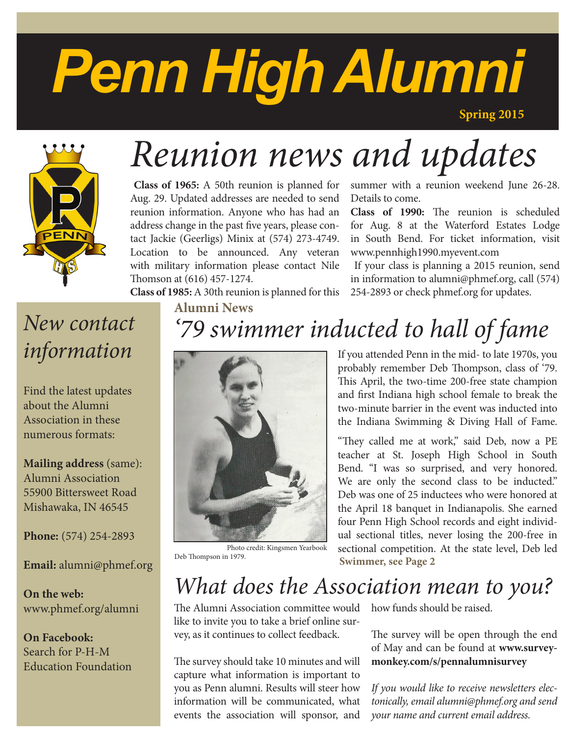# *Penn High Alumni*

**Spring 2015**



# *Reunion news and updates*

 **Class of 1965:** A 50th reunion is planned for Aug. 29. Updated addresses are needed to send reunion information. Anyone who has had an address change in the past five years, please contact Jackie (Geerligs) Minix at (574) 273-4749. Location to be announced. Any veteran with military information please contact Nile Thomson at (616) 457-1274.

**Class of 1985:** A 30th reunion is planned for this

summer with a reunion weekend June 26-28. Details to come.

**Class of 1990:** The reunion is scheduled for Aug. 8 at the Waterford Estates Lodge in South Bend. For ticket information, visit www.pennhigh1990.myevent.com

 If your class is planning a 2015 reunion, send in information to alumni@phmef.org, call (574) 254-2893 or check phmef.org for updates.

# *New contact information*

Find the latest updates about the Alumni Association in these numerous formats:

**Mailing address** (same): Alumni Association 55900 Bittersweet Road Mishawaka, IN 46545

**Phone:** (574) 254-2893

**Email:** alumni@phmef.org

**On the web:** www.phmef.org/alumni

**On Facebook:** Search for P-H-M Education Foundation

# **Alumni News** *'79 swimmer inducted to hall of fame*



Photo credit: Kingsmen Yearbook

If you attended Penn in the mid- to late 1970s, you probably remember Deb Thompson, class of '79. This April, the two-time 200-free state champion and first Indiana high school female to break the two-minute barrier in the event was inducted into the Indiana Swimming & Diving Hall of Fame.

"They called me at work," said Deb, now a PE teacher at St. Joseph High School in South Bend. "I was so surprised, and very honored. We are only the second class to be inducted." Deb was one of 25 inductees who were honored at the April 18 banquet in Indianapolis. She earned four Penn High School records and eight individual sectional titles, never losing the 200-free in sectional competition. At the state level, Deb led **Swimmer, see Page 2** 

# *What does the Association mean to you?*

The Alumni Association committee would like to invite you to take a brief online survey, as it continues to collect feedback.

The survey should take 10 minutes and will capture what information is important to you as Penn alumni. Results will steer how information will be communicated, what events the association will sponsor, and

how funds should be raised.

The survey will be open through the end of May and can be found at **www.surveymonkey.com/s/pennalumnisurvey**

*If you would like to receive newsletters electonically, email alumni@phmef.org and send your name and current email address.*